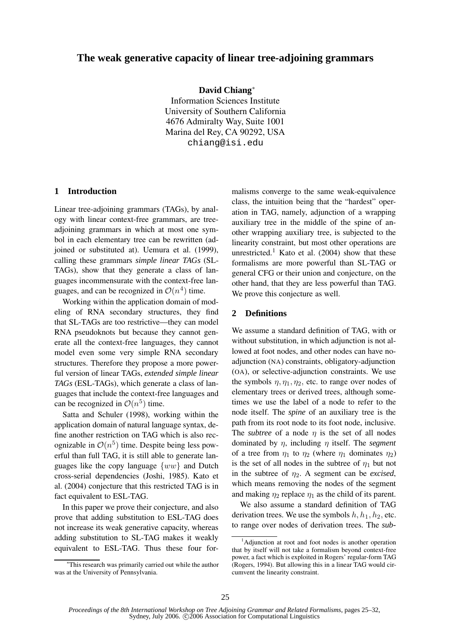# **The weak generative capacity of linear tree-adjoining grammars**

**David Chiang**<sup>∗</sup>

Information Sciences Institute University of Southern California 4676 Admiralty Way, Suite 1001 Marina del Rey, CA 90292, USA chiang@isi.edu

### **1 Introduction**

Linear tree-adjoining grammars (TAGs), by analogy with linear context-free grammars, are treeadjoining grammars in which at most one symbol in each elementary tree can be rewritten (adjoined or substituted at). Uemura et al. (1999), calling these grammars *simple linear TAGs* (SL-TAGs), show that they generate a class of languages incommensurate with the context-free languages, and can be recognized in  $\mathcal{O}(n^4)$  time.

Working within the application domain of modeling of RNA secondary structures, they find that SL-TAGs are too restrictive—they can model RNA pseudoknots but because they cannot generate all the context-free languages, they cannot model even some very simple RNA secondary structures. Therefore they propose a more powerful version of linear TAGs, *extended simple linear TAGs* (ESL-TAGs), which generate a class of languages that include the context-free languages and can be recognized in  $\mathcal{O}(n^5)$  time.

Satta and Schuler (1998), working within the application domain of natural language syntax, define another restriction on TAG which is also recognizable in  $\mathcal{O}(n^5)$  time. Despite being less powerful than full TAG, it is still able to generate languages like the copy language  $\{ww\}$  and Dutch cross-serial dependencies (Joshi, 1985). Kato et al. (2004) conjecture that this restricted TAG is in fact equivalent to ESL-TAG.

In this paper we prove their conjecture, and also prove that adding substitution to ESL-TAG does not increase its weak generative capacity, whereas adding substitution to SL-TAG makes it weakly equivalent to ESL-TAG. Thus these four formalisms converge to the same weak-equivalence class, the intuition being that the "hardest" operation in TAG, namely, adjunction of a wrapping auxiliary tree in the middle of the spine of another wrapping auxiliary tree, is subjected to the linearity constraint, but most other operations are unrestricted.<sup>1</sup> Kato et al.  $(2004)$  show that these formalisms are more powerful than SL-TAG or general CFG or their union and conjecture, on the other hand, that they are less powerful than TAG. We prove this conjecture as well.

#### **2 Definitions**

We assume a standard definition of TAG, with or without substitution, in which adjunction is not allowed at foot nodes, and other nodes can have noadjunction (NA) constraints, obligatory-adjunction (OA), or selective-adjunction constraints. We use the symbols  $\eta$ ,  $\eta_1$ ,  $\eta_2$ , etc. to range over nodes of elementary trees or derived trees, although sometimes we use the label of a node to refer to the node itself. The *spine* of an auxiliary tree is the path from its root node to its foot node, inclusive. The *subtree* of a node  $\eta$  is the set of all nodes dominated by η, including η itself. The *segment* of a tree from  $\eta_1$  to  $\eta_2$  (where  $\eta_1$  dominates  $\eta_2$ ) is the set of all nodes in the subtree of  $\eta_1$  but not in the subtree of  $\eta_2$ . A segment can be *excised*, which means removing the nodes of the segment and making  $\eta_2$  replace  $\eta_1$  as the child of its parent.

We also assume a standard definition of TAG derivation trees. We use the symbols  $h, h_1, h_2$ , etc. to range over nodes of derivation trees. The *sub-*

<sup>∗</sup>This research was primarily carried out while the author was at the University of Pennsylvania.

<sup>&</sup>lt;sup>1</sup>Adjunction at root and foot nodes is another operation that by itself will not take a formalism beyond context-free power, a fact which is exploited in Rogers' regular-form TAG (Rogers, 1994). But allowing this in a linear TAG would circumvent the linearity constraint.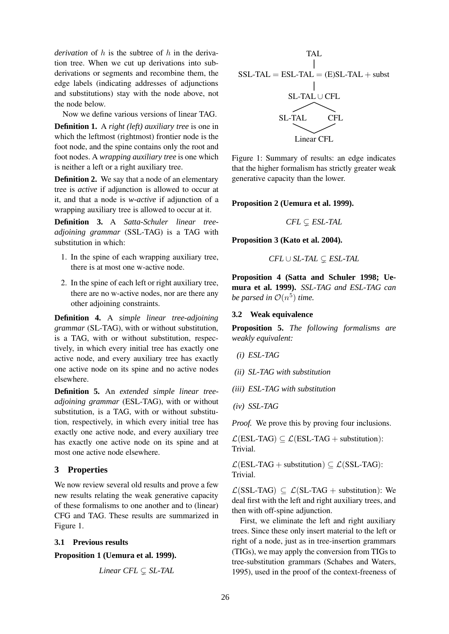*derivation* of h is the subtree of h in the derivation tree. When we cut up derivations into subderivations or segments and recombine them, the edge labels (indicating addresses of adjunctions and substitutions) stay with the node above, not the node below.

Now we define various versions of linear TAG. **Definition 1.** A *right (left) auxiliary tree* is one in which the leftmost (rightmost) frontier node is the

foot node, and the spine contains only the root and foot nodes. A *wrapping auxiliary tree* is one which is neither a left or a right auxiliary tree. **Definition 2.** We say that a node of an elementary

tree is *active* if adjunction is allowed to occur at it, and that a node is *w-active* if adjunction of a wrapping auxiliary tree is allowed to occur at it.

**Definition 3.** A *Satta-Schuler linear treeadjoining grammar* (SSL-TAG) is a TAG with substitution in which:

- 1. In the spine of each wrapping auxiliary tree, there is at most one w-active node.
- 2. In the spine of each left or right auxiliary tree, there are no w-active nodes, nor are there any other adjoining constraints.

**Definition 4.** A *simple linear tree-adjoining grammar* (SL-TAG), with or without substitution, is a TAG, with or without substitution, respectively, in which every initial tree has exactly one active node, and every auxiliary tree has exactly one active node on its spine and no active nodes elsewhere.

**Definition 5.** An *extended simple linear treeadjoining grammar* (ESL-TAG), with or without substitution, is a TAG, with or without substitution, respectively, in which every initial tree has exactly one active node, and every auxiliary tree has exactly one active node on its spine and at most one active node elsewhere.

# **3 Properties**

We now review several old results and prove a few new results relating the weak generative capacity of these formalisms to one another and to (linear) CFG and TAG. These results are summarized in Figure 1.

## **3.1 Previous results**

**Proposition 1 (Uemura et al. 1999).**

$$
Linear\, CFL \subsetneq SL\text{-}TAL
$$

TAL

\n
$$
SSL-TAL = ESL-TAL = (E)SL-TAL + \text{subst}
$$
\n
$$
SL-TAL \cup CFL
$$
\n
$$
SL-TAL \quad \text{CFL}
$$
\n
$$
Linear CFL
$$

Figure 1: Summary of results: an edge indicates that the higher formalism has strictly greater weak generative capacity than the lower.

### **Proposition 2 (Uemura et al. 1999).**

$$
\textit{CFL} \subsetneq \textit{ESL-TAL}
$$

**Proposition 3 (Kato et al. 2004).**

$$
\mathit{CFL} \cup \mathit{SL-TAL} \subsetneq \mathit{ESL-TAL}
$$

**Proposition 4 (Satta and Schuler 1998; Uemura et al. 1999).** *SSL-TAG and ESL-TAG can be parsed in*  $\mathcal{O}(n^5)$  *time.* 

### **3.2 Weak equivalence**

**Proposition 5.** *The following formalisms are weakly equivalent:*

*(i) ESL-TAG*

*(ii) SL-TAG with substitution*

*(iii) ESL-TAG with substitution*

*(iv) SSL-TAG*

*Proof.* We prove this by proving four inclusions.

 $\mathcal{L}(ESL-TAG) \subseteq \mathcal{L}(ESL-TAG + substitution)$ : Trivial.

 $\mathcal{L}(ESL-TAG + substitution) \subseteq \mathcal{L}(SSL-TAG)$ : Trivial.

 $\mathcal{L}(SSL-TAG) \subseteq \mathcal{L}(SL-TAG + substitution)$ : We deal first with the left and right auxiliary trees, and then with off-spine adjunction.

First, we eliminate the left and right auxiliary trees. Since these only insert material to the left or right of a node, just as in tree-insertion grammars (TIGs), we may apply the conversion from TIGs to tree-substitution grammars (Schabes and Waters, 1995), used in the proof of the context-freeness of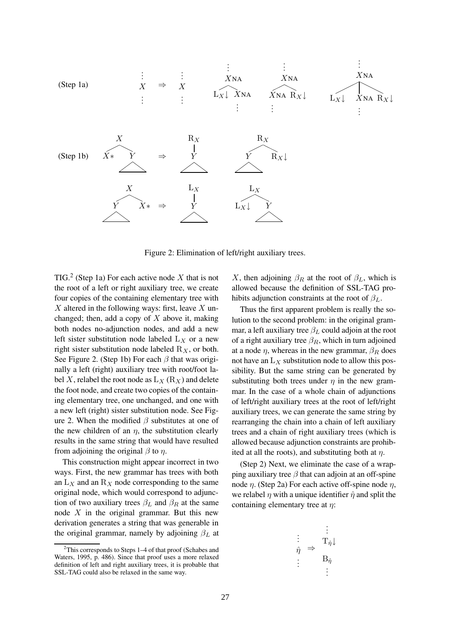

Figure 2: Elimination of left/right auxiliary trees.

TIG.<sup>2</sup> (Step 1a) For each active node X that is not the root of a left or right auxiliary tree, we create four copies of the containing elementary tree with  $X$  altered in the following ways: first, leave  $X$  unchanged; then, add a copy of  $X$  above it, making both nodes no-adjunction nodes, and add a new left sister substitution node labeled  $L_X$  or a new right sister substitution node labeled  $R_X$ , or both. See Figure 2. (Step 1b) For each  $\beta$  that was originally a left (right) auxiliary tree with root/foot label X, relabel the root node as  $L_X(R_X)$  and delete the foot node, and create two copies of the containing elementary tree, one unchanged, and one with a new left (right) sister substitution node. See Figure 2. When the modified  $\beta$  substitutes at one of the new children of an  $\eta$ , the substitution clearly results in the same string that would have resulted from adjoining the original  $\beta$  to  $\eta$ .

This construction might appear incorrect in two ways. First, the new grammar has trees with both an  $L_X$  and an  $R_X$  node corresponding to the same original node, which would correspond to adjunction of two auxiliary trees  $\beta_L$  and  $\beta_R$  at the same node  $X$  in the original grammar. But this new derivation generates a string that was generable in the original grammar, namely by adjoining  $\beta_L$  at X, then adjoining  $\beta_R$  at the root of  $\beta_L$ , which is allowed because the definition of SSL-TAG prohibits adjunction constraints at the root of  $\beta_L$ .

Thus the first apparent problem is really the solution to the second problem: in the original grammar, a left auxiliary tree  $\beta_L$  could adjoin at the root of a right auxiliary tree  $\beta_R$ , which in turn adjoined at a node  $\eta$ , whereas in the new grammar,  $\beta_R$  does not have an  $L_X$  substitution node to allow this possibility. But the same string can be generated by substituting both trees under  $\eta$  in the new grammar. In the case of a whole chain of adjunctions of left/right auxiliary trees at the root of left/right auxiliary trees, we can generate the same string by rearranging the chain into a chain of left auxiliary trees and a chain of right auxiliary trees (which is allowed because adjunction constraints are prohibited at all the roots), and substituting both at  $\eta$ .

(Step 2) Next, we eliminate the case of a wrapping auxiliary tree  $\beta$  that can adjoin at an off-spine node η. (Step 2a) For each active off-spine node  $η$ , we relabel  $\eta$  with a unique identifier  $\hat{\eta}$  and split the containing elementary tree at  $\eta$ :

$$
\vdots \qquad \begin{array}{c}\n\vdots \\
\hat{\eta} \end{array} \Rightarrow \begin{array}{c}\n\vdots \\
T_{\hat{\eta}} \downarrow \\
B_{\hat{\eta}} \\
\vdots\n\end{array}
$$

.

 $2$ This corresponds to Steps 1–4 of that proof (Schabes and Waters, 1995, p. 486). Since that proof uses a more relaxed definition of left and right auxiliary trees, it is probable that SSL-TAG could also be relaxed in the same way.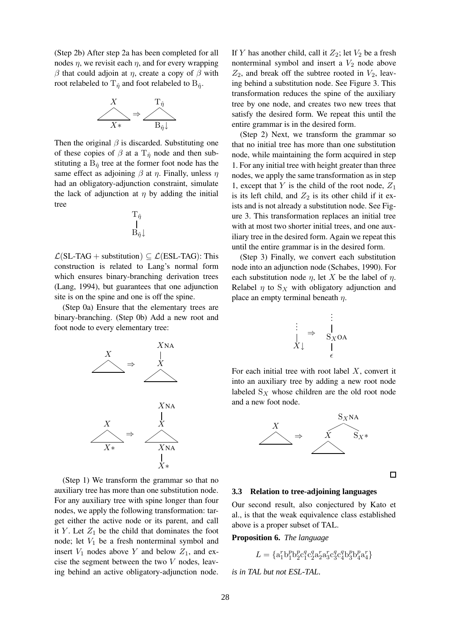(Step 2b) After step 2a has been completed for all nodes  $\eta$ , we revisit each  $\eta$ , and for every wrapping β that could adjoin at η, create a copy of β with root relabeled to  $T_{\hat{\eta}}$  and foot relabeled to  $B_{\hat{\eta}}$ .



Then the original  $\beta$  is discarded. Substituting one of these copies of  $\beta$  at a  $T_{\hat{\eta}}$  node and then substituting a  $B_{\hat{\eta}}$  tree at the former foot node has the same effect as adjoining  $\beta$  at  $\eta$ . Finally, unless  $\eta$ had an obligatory-adjunction constraint, simulate the lack of adjunction at  $\eta$  by adding the initial tree

$$
\mathop{\rm T_{\hat\eta}}_{B_{\hat\eta}\downarrow}
$$

 $\mathcal{L}(SL-TAG + substitution) \subset \mathcal{L}(ESL-TAG)$ : This construction is related to Lang's normal form which ensures binary-branching derivation trees (Lang, 1994), but guarantees that one adjunction site is on the spine and one is off the spine.

(Step 0a) Ensure that the elementary trees are binary-branching. (Step 0b) Add a new root and foot node to every elementary tree:



(Step 1) We transform the grammar so that no auxiliary tree has more than one substitution node. For any auxiliary tree with spine longer than four nodes, we apply the following transformation: target either the active node or its parent, and call it Y. Let  $Z_1$  be the child that dominates the foot node; let  $V_1$  be a fresh nonterminal symbol and insert  $V_1$  nodes above Y and below  $Z_1$ , and excise the segment between the two  $V$  nodes, leaving behind an active obligatory-adjunction node.

If Y has another child, call it  $Z_2$ ; let  $V_2$  be a fresh nonterminal symbol and insert a  $V_2$  node above  $Z_2$ , and break off the subtree rooted in  $V_2$ , leaving behind a substitution node. See Figure 3. This transformation reduces the spine of the auxiliary tree by one node, and creates two new trees that satisfy the desired form. We repeat this until the entire grammar is in the desired form.

(Step 2) Next, we transform the grammar so that no initial tree has more than one substitution node, while maintaining the form acquired in step 1. For any initial tree with height greater than three nodes, we apply the same transformation as in step 1, except that Y is the child of the root node,  $Z_1$ is its left child, and  $Z_2$  is its other child if it exists and is not already a substitution node. See Figure 3. This transformation replaces an initial tree with at most two shorter initial trees, and one auxiliary tree in the desired form. Again we repeat this until the entire grammar is in the desired form.

(Step 3) Finally, we convert each substitution node into an adjunction node (Schabes, 1990). For each substitution node  $\eta$ , let X be the label of  $\eta$ . Relabel  $\eta$  to  $S_X$  with obligatory adjunction and place an empty terminal beneath  $\eta$ .

$$
\begin{array}{ccc}\n\vdots & \vdots & \vdots \\
\downarrow & \Rightarrow & S_X \text{OA} \\
X \downarrow & & \downarrow \\
\epsilon\n\end{array}
$$

For each initial tree with root label  $X$ , convert it into an auxiliary tree by adding a new root node labeled  $S_X$  whose children are the old root node and a new foot node.



 $\Box$ 

#### **3.3 Relation to tree-adjoining languages**

Our second result, also conjectured by Kato et al., is that the weak equivalence class established above is a proper subset of TAL.

**Proposition 6.** *The language*

$$
L = \{ \mathbf{a}_1^r \mathbf{b}_1^p \mathbf{b}_2^p \mathbf{c}_1^q \mathbf{c}_2^q \mathbf{a}_2^r \mathbf{a}_3^r \mathbf{c}_3^q \mathbf{c}_4^q \mathbf{b}_3^p \mathbf{b}_4^p \mathbf{a}_4^r \}
$$

*is in TAL but not ESL-TAL.*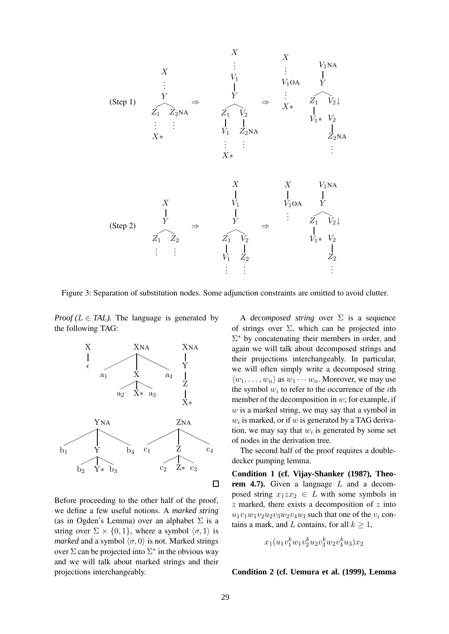

Figure 3: Separation of substitution nodes. Some adjunction constraints are omitted to avoid clutter.

*Proof* ( $L \in TAL$ ). The language is generated by the following TAG:



Before proceeding to the other half of the proof, we define a few useful notions. A *marked string* (as in Ogden's Lemma) over an alphabet  $\Sigma$  is a string over  $\Sigma \times \{0, 1\}$ , where a symbol  $\langle \sigma, 1 \rangle$  is *marked* and a symbol  $\langle \sigma, 0 \rangle$  is not. Marked strings over  $\Sigma$  can be projected into  $\Sigma^*$  in the obvious way and we will talk about marked strings and their projections interchangeably.

A *decomposed string* over Σ is a sequence of strings over  $\Sigma$ , which can be projected into  $\Sigma^*$  by concatenating their members in order, and again we will talk about decomposed strings and their projections interchangeably. In particular, we will often simply write a decomposed string  $\langle w_1, \ldots, w_n \rangle$  as  $w_1 \cdots w_n$ . Moreover, we may use the symbol  $w_i$  to refer to the occurrence of the *i*th member of the decomposition in  $w$ ; for example, if  $w$  is a marked string, we may say that a symbol in  $w_i$  is marked, or if  $w$  is generated by a TAG derivation, we may say that  $w_i$  is generated by some set of nodes in the derivation tree.

The second half of the proof requires a doubledecker pumping lemma.

**Condition 1 (cf. Vijay-Shanker (1987), Theorem 4.7).** Given a language L and a decomposed string  $x_1z x_2 \in L$  with some symbols in  $z$  marked, there exists a decomposition of  $z$  into  $u_1v_1w_1v_2u_2v_3w_2v_4u_3$  such that one of the  $v_i$  contains a mark, and L contains, for all  $k \geq 1$ ,

$$
x_1(u_1v_1^kw_1v_2^ku_2v_3^kw_2v_4^ku_3)x_2
$$

### **Condition 2 (cf. Uemura et al. (1999), Lemma**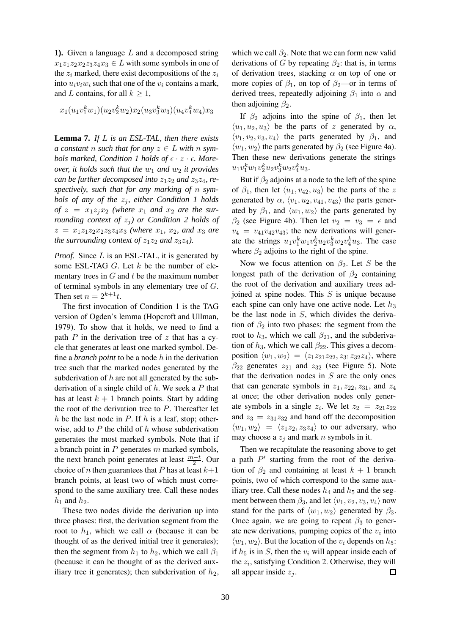**1).** Given a language L and a decomposed string  $x_1z_1z_2x_2z_3z_4x_3 \in L$  with some symbols in one of the  $z_i$  marked, there exist decompositions of the  $z_i$ into  $u_i v_i w_i$  such that one of the  $v_i$  contains a mark, and L contains, for all  $k \geq 1$ ,

$$
x_1(u_1v_1^kw_1)(u_2v_2^kw_2)x_2(u_3v_3^kw_3)(u_4v_4^kw_4)x_3\\
$$

**Lemma 7.** *If* L *is an ESL-TAL, then there exists a constant n such that for any*  $z \in L$  *with n symbols marked, Condition 1 holds of*  $\epsilon \cdot z \cdot \epsilon$ *. Moreover, it holds such that the*  $w_1$  *and*  $w_2$  *it provides can be further decomposed into*  $z_1z_2$  *and*  $z_3z_4$ *, respectively, such that for any marking of* n *symbols of any of the*  $z_j$ *, either Condition 1 holds* of  $z = x_1 z_i x_2$  *(where*  $x_1$  *and*  $x_2$  *are the surrounding context of*  $z<sub>i</sub>$ *) or Condition* 2 *holds of*  $z = x_1z_1z_2x_2z_3z_4x_3$  *(where*  $x_1$ *,*  $x_2$ *, and*  $x_3$  *are the surrounding context of*  $z_1z_2$  *and*  $z_3z_4$ *).* 

*Proof.* Since L is an ESL-TAL, it is generated by some ESL-TAG  $G$ . Let  $k$  be the number of elementary trees in  $G$  and  $t$  be the maximum number of terminal symbols in any elementary tree of G. Then set  $n = 2^{k+1}t$ .

The first invocation of Condition 1 is the TAG version of Ogden's lemma (Hopcroft and Ullman, 1979). To show that it holds, we need to find a path  $P$  in the derivation tree of  $z$  that has a cycle that generates at least one marked symbol. Define a *branch point* to be a node h in the derivation tree such that the marked nodes generated by the subderivation of  $h$  are not all generated by the subderivation of a single child of  $h$ . We seek a P that has at least  $k + 1$  branch points. Start by adding the root of the derivation tree to  $P$ . Thereafter let h be the last node in  $P$ . If h is a leaf, stop; otherwise, add to  $P$  the child of  $h$  whose subderivation generates the most marked symbols. Note that if a branch point in  $P$  generates  $m$  marked symbols, the next branch point generates at least  $\frac{m-t}{2}$ . Our choice of *n* then guarantees that *P* has at least  $k+1$ branch points, at least two of which must correspond to the same auxiliary tree. Call these nodes  $h_1$  and  $h_2$ .

These two nodes divide the derivation up into three phases: first, the derivation segment from the root to  $h_1$ , which we call  $\alpha$  (because it can be thought of as the derived initial tree it generates); then the segment from  $h_1$  to  $h_2$ , which we call  $\beta_1$ (because it can be thought of as the derived auxiliary tree it generates); then subderivation of  $h_2$ , which we call  $\beta_2$ . Note that we can form new valid derivations of G by repeating  $\beta_2$ : that is, in terms of derivation trees, stacking  $\alpha$  on top of one or more copies of  $\beta_1$ , on top of  $\beta_2$ —or in terms of derived trees, repeatedly adjoining  $\beta_1$  into  $\alpha$  and then adjoining  $\beta_2$ .

If  $\beta_2$  adjoins into the spine of  $\beta_1$ , then let  $\langle u_1, u_2, u_3 \rangle$  be the parts of z generated by  $\alpha$ ,  $\langle v_1, v_2, v_3, v_4 \rangle$  the parts generated by  $\beta_1$ , and  $\langle w_1, w_2 \rangle$  the parts generated by  $\beta_2$  (see Figure 4a). Then these new derivations generate the strings  $u_1v_1^kw_1v_2^ku_2v_3^kw_2v_4^ku_3.$ 

But if  $\beta_2$  adjoins at a node to the left of the spine of  $\beta_1$ , then let  $\langle u_1, v_{42}, u_3 \rangle$  be the parts of the z generated by  $\alpha$ ,  $\langle v_1, u_2, v_{41}, v_{43} \rangle$  the parts generated by  $\beta_1$ , and  $\langle w_1, w_2 \rangle$  the parts generated by  $\beta_2$  (see Figure 4b). Then let  $v_2 = v_3 = \epsilon$  and  $v_4 = v_{41}v_{42}v_{43}$ ; the new derivations will generate the strings  $u_1v_1^kw_1v_2^ku_2v_3^kw_2v_4^ku_3$ . The case where  $\beta_2$  adjoins to the right of the spine.

Now we focus attention on  $\beta_2$ . Let S be the longest path of the derivation of  $\beta_2$  containing the root of the derivation and auxiliary trees adjoined at spine nodes. This  $S$  is unique because each spine can only have one active node. Let  $h_3$ be the last node in  $S$ , which divides the derivation of  $\beta_2$  into two phases: the segment from the root to  $h_3$ , which we call  $\beta_{21}$ , and the subderivation of  $h_3$ , which we call  $\beta_{22}$ . This gives a decomposition  $\langle w_1, w_2 \rangle = \langle z_1 z_{21} z_{22}, z_{31} z_{32} z_4 \rangle$ , where  $\beta_{22}$  generates  $z_{21}$  and  $z_{32}$  (see Figure 5). Note that the derivation nodes in  $S$  are the only ones that can generate symbols in  $z_1$ ,  $z_{22}$ ,  $z_{31}$ , and  $z_4$ at once; the other derivation nodes only generate symbols in a single  $z_i$ . We let  $z_2 = z_{21}z_{22}$ and  $z_3 = z_{31}z_{32}$  and hand off the decomposition  $\langle w_1, w_2 \rangle = \langle z_1 z_2, z_3 z_4 \rangle$  to our adversary, who may choose a  $z_i$  and mark n symbols in it.

Then we recapitulate the reasoning above to get a path  $P'$  starting from the root of the derivation of  $\beta_2$  and containing at least  $k + 1$  branch points, two of which correspond to the same auxiliary tree. Call these nodes  $h_4$  and  $h_5$  and the segment between them  $\beta_3$ , and let  $\langle v_1, v_2, v_3, v_4 \rangle$  now stand for the parts of  $\langle w_1, w_2 \rangle$  generated by  $\beta_3$ . Once again, we are going to repeat  $\beta_3$  to generate new derivations, pumping copies of the  $v_i$  into  $\langle w_1, w_2 \rangle$ . But the location of the  $v_i$  depends on  $h_5$ : if  $h_5$  is in S, then the  $v_i$  will appear inside each of the  $z_i$ , satisfying Condition 2. Otherwise, they will all appear inside  $z_i$ .  $\Box$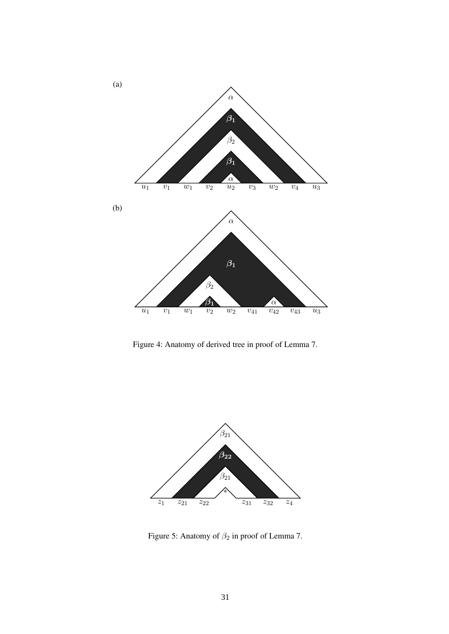

Figure 4: Anatomy of derived tree in proof of Lemma 7.



Figure 5: Anatomy of  $\beta_2$  in proof of Lemma 7.